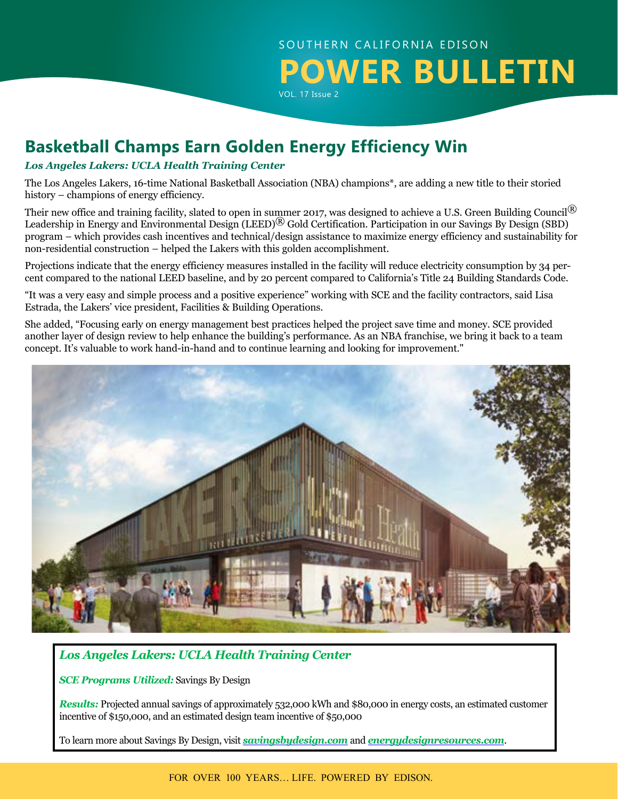

# **Basketball Champs Earn Golden Energy Efficiency Win**

### *Los Angeles Lakers: UCLA Health Training Center*

The Los Angeles Lakers, 16-time National Basketball Association (NBA) champions\*, are adding a new title to their storied history – champions of energy efficiency.

Their new office and training facility, slated to open in summer 2017, was designed to achieve a U.S. Green Building Council<sup>®</sup> Leadership in Energy and Environmental Design (LEED)<sup>®</sup> Gold Certification. Participation in our Savings By Design (SBD) program – which provides cash incentives and technical/design assistance to maximize energy efficiency and sustainability for non-residential construction – helped the Lakers with this golden accomplishment.

Projections indicate that the energy efficiency measures installed in the facility will reduce electricity consumption by 34 percent compared to the national LEED baseline, and by 20 percent compared to California's Title 24 Building Standards Code.

"It was a very easy and simple process and a positive experience" working with SCE and the facility contractors, said Lisa Estrada, the Lakers' vice president, Facilities & Building Operations.

She added, "Focusing early on energy management best practices helped the project save time and money. SCE provided another layer of design review to help enhance the building's performance. As an NBA franchise, we bring it back to a team concept. It's valuable to work hand-in-hand and to continue learning and looking for improvement."



### *Los Angeles Lakers: UCLA Health Training Center*

*SCE Programs Utilized:* Savings By Design

*Results:* Projected annual savings of approximately 532,000 kWh and \$80,000 in energy costs, an estimated customer incentive of \$150,000, and an estimated design team incentive of \$50,000

To learn more about Savings By Design, visit *[savingsbydesign.com](http://savingsbydesign.com)* and *[energydesignresources.com](http://energydesignresources.com)*.

FOR OVER 100 YEARS… LIFE. POWERED BY EDISON.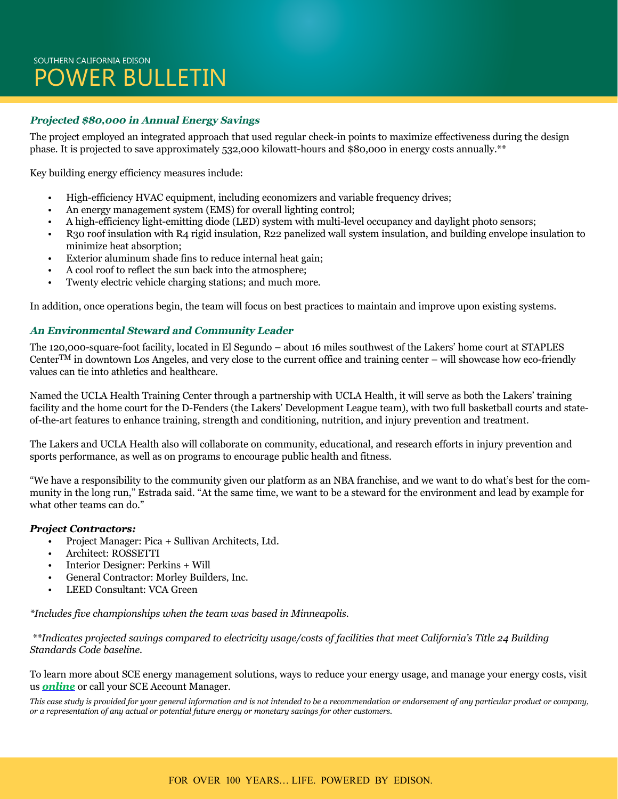## SOUTHERN CALIFORNIA EDISON POWER BULLETIN

### **Projected \$80,000 in Annual Energy Savings**

The project employed an integrated approach that used regular check-in points to maximize effectiveness during the design phase. It is projected to save approximately 532,000 kilowatt-hours and \$80,000 in energy costs annually.\*\*

Key building energy efficiency measures include:

- High-efficiency HVAC equipment, including economizers and variable frequency drives;
- An energy management system (EMS) for overall lighting control;
- A high-efficiency light-emitting diode (LED) system with multi-level occupancy and daylight photo sensors;
- R30 roof insulation with R4 rigid insulation, R22 panelized wall system insulation, and building envelope insulation to minimize heat absorption;
- Exterior aluminum shade fins to reduce internal heat gain;
- A cool roof to reflect the sun back into the atmosphere;
- Twenty electric vehicle charging stations; and much more.

In addition, once operations begin, the team will focus on best practices to maintain and improve upon existing systems.

### **An Environmental Steward and Community Leader**

The 120,000-square-foot facility, located in El Segundo – about 16 miles southwest of the Lakers' home court at STAPLES CenterTM in downtown Los Angeles, and very close to the current office and training center – will showcase how eco-friendly values can tie into athletics and healthcare.

Named the UCLA Health Training Center through a partnership with UCLA Health, it will serve as both the Lakers' training facility and the home court for the D-Fenders (the Lakers' Development League team), with two full basketball courts and stateof-the-art features to enhance training, strength and conditioning, nutrition, and injury prevention and treatment.

The Lakers and UCLA Health also will collaborate on community, educational, and research efforts in injury prevention and sports performance, as well as on programs to encourage public health and fitness.

"We have a responsibility to the community given our platform as an NBA franchise, and we want to do what's best for the community in the long run," Estrada said. "At the same time, we want to be a steward for the environment and lead by example for what other teams can do."

### *Project Contractors:*

- Project Manager: Pica + Sullivan Architects, Ltd.
- Architect: ROSSETTI
- Interior Designer: Perkins + Will
- General Contractor: Morley Builders, Inc.
- LEED Consultant: VCA Green

*\*Includes five championships when the team was based in Minneapolis.*

 *\*\*Indicates projected savings compared to electricity usage/costs of facilities that meet California's Title 24 Building Standards Code baseline.*

To learn more about SCE energy management solutions, ways to reduce your energy usage, and manage your energy costs, visit us *[online](http://www.sce.com/business)* or call your SCE Account Manager.

*This case study is provided for your general information and is not intended to be a recommendation or endorsement of any particular product or company, or a representation of any actual or potential future energy or monetary savings for other customers.*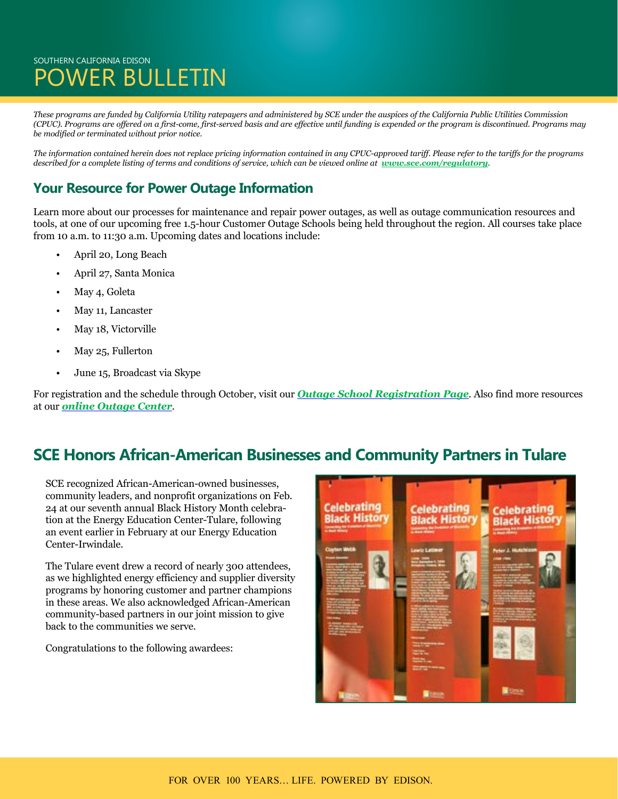## SOUTHERN CALIFORNIA EDISON OWER BULLETIN

*These programs are funded by California Utility ratepayers and administered by SCE under the auspices of the California Public Utilities Commission (CPUC). Programs are offered on a first-come, first-served basis and are effective until funding is expended or the program is discontinued. Programs may be modified or terminated without prior notice.* 

*The information contained herein does not replace pricing information contained in any CPUC-approved tariff. Please refer to the tariffs for the programs*  described for a complete listing of terms and conditions of service, which can be viewed online at *[www.sce.com/regulatory](http://www.sce.com/regulatory)*.

### **Your Resource for Power Outage Information**

Learn more about our processes for maintenance and repair power outages, as well as outage communication resources and tools, at one of our upcoming free 1.5-hour Customer Outage Schools being held throughout the region. All courses take place from 10 a.m. to 11:30 a.m. Upcoming dates and locations include:

- April 20, Long Beach
- April 27, Santa Monica
- May 4, Goleta
- May 11, Lancaster
- May 18, Victorville
- May 25, Fullerton
- June 15, Broadcast via Skype

For registration and the schedule through October, visit our *[Outage School Registration Page](https://survey.sce.com/perseus/se.ashx?s=0B87A62B073C413F)*. Also find more resources at our *[online Outage Center](https://www.sce.com/wps/portal/home/outage-center/!ut/p/b1/lVLBUoMwEP0VPfTIZJkQEo5ppwPUKiIUCxcmTdOKWqAaO-rXGyonZ4rtnrIz7719m7eoQEtU1OJQbYWumlq8dn3hljbzeRAmELJ5RiEc-0mc3WcQeLYB5AYAJ4rDkR8F9iRghu_HCQa-cCaB53IbwEGPqECFrHWrn1D-LlUpm1qrWpeqHkH_HkHzocVWXUnTqLeO0cpqjfIVJsxjlFgbd7W2HEcSS9iEWIpKoTaCYmbT3uGAhX82PDochvwCPB-mwSwyI9IYQ4hjuEs4xwBuDxj4pdyYpCdHEEDJhVv_EYyID0Zw6t_cjlOAlF4sODvjEqrn_b7gJs8ut0-NlmcG2u4WO4a_rJcHBpi0h-85v_4BTaC7ZQ!!/dl4/d5/L2dBISEvZ0FBIS9nQSEh/)*.

## **SCE Honors African-American Businesses and Community Partners in Tulare**

SCE recognized African-American-owned businesses, community leaders, and nonprofit organizations on Feb. 24 at our seventh annual Black History Month celebration at the Energy Education Center-Tulare, following an event earlier in February at our Energy Education Center-Irwindale.

The Tulare event drew a record of nearly 300 attendees, as we highlighted energy efficiency and supplier diversity programs by honoring customer and partner champions in these areas. We also acknowledged African-American community-based partners in our joint mission to give back to the communities we serve.

Congratulations to the following awardees:

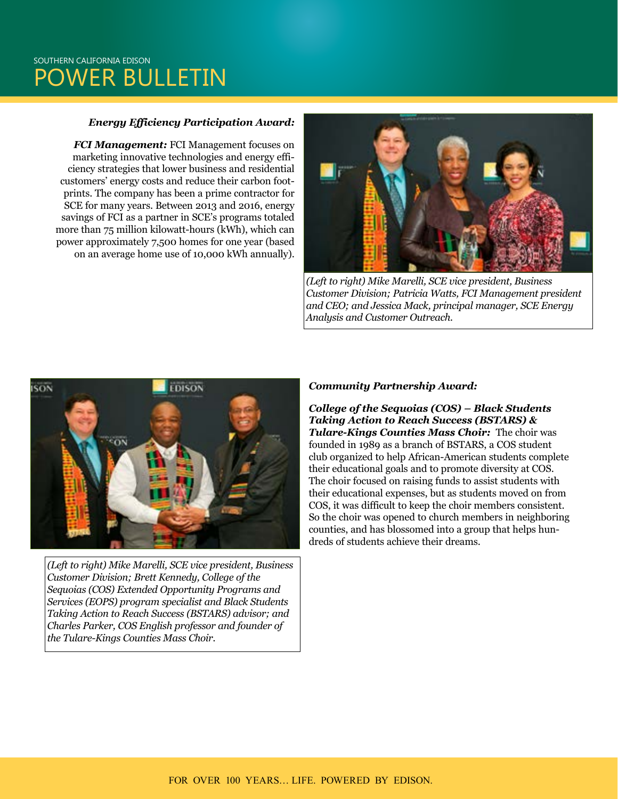## SOUTHERN CALIFORNIA EDISON POWER BULLETIN

### *Energy Efficiency Participation Award:*

*FCI Management:* FCI Management focuses on marketing innovative technologies and energy efficiency strategies that lower business and residential customers' energy costs and reduce their carbon footprints. The company has been a prime contractor for SCE for many years. Between 2013 and 2016, energy savings of FCI as a partner in SCE's programs totaled more than 75 million kilowatt-hours (kWh), which can power approximately 7,500 homes for one year (based on an average home use of 10,000 kWh annually).



*(Left to right) Mike Marelli, SCE vice president, Business Customer Division; Patricia Watts, FCI Management president and CEO; and Jessica Mack, principal manager, SCE Energy Analysis and Customer Outreach.*



*(Left to right) Mike Marelli, SCE vice president, Business Customer Division; Brett Kennedy, College of the Sequoias (COS) Extended Opportunity Programs and Services (EOPS) program specialist and Black Students Taking Action to Reach Success (BSTARS) advisor; and Charles Parker, COS English professor and founder of the Tulare-Kings Counties Mass Choir.*

#### *Community Partnership Award:*

*College of the Sequoias (COS) – Black Students Taking Action to Reach Success (BSTARS) & Tulare-Kings Counties Mass Choir:* The choir was founded in 1989 as a branch of BSTARS, a COS student club organized to help African-American students complete their educational goals and to promote diversity at COS. The choir focused on raising funds to assist students with their educational expenses, but as students moved on from COS, it was difficult to keep the choir members consistent. So the choir was opened to church members in neighboring counties, and has blossomed into a group that helps hundreds of students achieve their dreams.